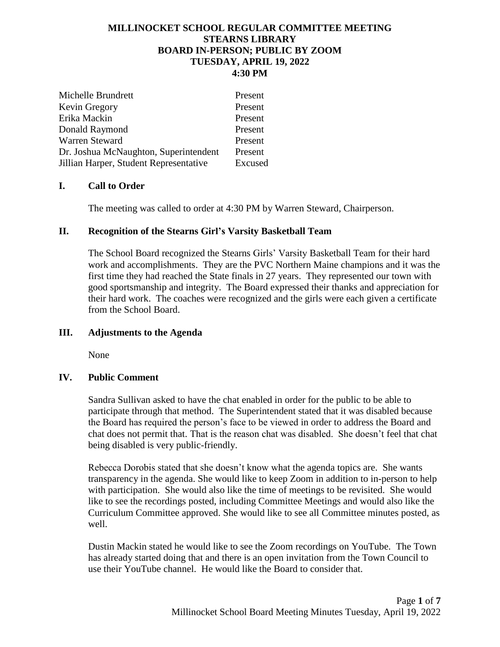# **MILLINOCKET SCHOOL REGULAR COMMITTEE MEETING STEARNS LIBRARY BOARD IN-PERSON; PUBLIC BY ZOOM TUESDAY, APRIL 19, 2022 4:30 PM**

| Michelle Brundrett                     | Present |
|----------------------------------------|---------|
| Kevin Gregory                          | Present |
| Erika Mackin                           | Present |
| Donald Raymond                         | Present |
| Warren Steward                         | Present |
| Dr. Joshua McNaughton, Superintendent  | Present |
| Jillian Harper, Student Representative | Excused |

# **I. Call to Order**

The meeting was called to order at 4:30 PM by Warren Steward, Chairperson.

# **II. Recognition of the Stearns Girl's Varsity Basketball Team**

The School Board recognized the Stearns Girls' Varsity Basketball Team for their hard work and accomplishments. They are the PVC Northern Maine champions and it was the first time they had reached the State finals in 27 years. They represented our town with good sportsmanship and integrity. The Board expressed their thanks and appreciation for their hard work. The coaches were recognized and the girls were each given a certificate from the School Board.

# **III. Adjustments to the Agenda**

None

# **IV. Public Comment**

Sandra Sullivan asked to have the chat enabled in order for the public to be able to participate through that method. The Superintendent stated that it was disabled because the Board has required the person's face to be viewed in order to address the Board and chat does not permit that. That is the reason chat was disabled. She doesn't feel that chat being disabled is very public-friendly.

Rebecca Dorobis stated that she doesn't know what the agenda topics are. She wants transparency in the agenda. She would like to keep Zoom in addition to in-person to help with participation. She would also like the time of meetings to be revisited. She would like to see the recordings posted, including Committee Meetings and would also like the Curriculum Committee approved. She would like to see all Committee minutes posted, as well.

Dustin Mackin stated he would like to see the Zoom recordings on YouTube. The Town has already started doing that and there is an open invitation from the Town Council to use their YouTube channel. He would like the Board to consider that.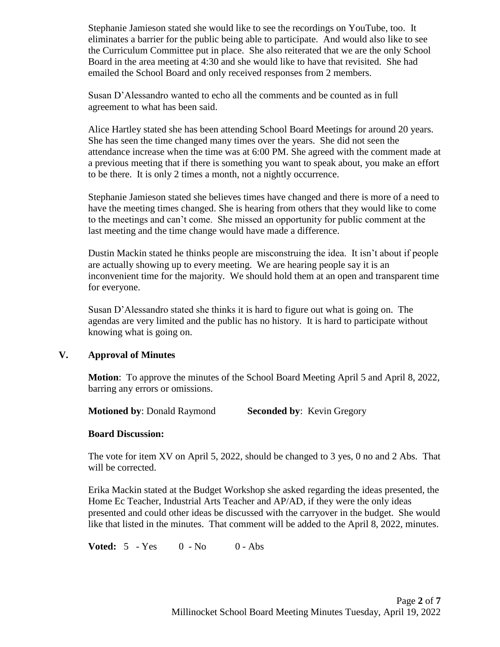Stephanie Jamieson stated she would like to see the recordings on YouTube, too. It eliminates a barrier for the public being able to participate. And would also like to see the Curriculum Committee put in place. She also reiterated that we are the only School Board in the area meeting at 4:30 and she would like to have that revisited. She had emailed the School Board and only received responses from 2 members.

Susan D'Alessandro wanted to echo all the comments and be counted as in full agreement to what has been said.

Alice Hartley stated she has been attending School Board Meetings for around 20 years. She has seen the time changed many times over the years. She did not seen the attendance increase when the time was at 6:00 PM. She agreed with the comment made at a previous meeting that if there is something you want to speak about, you make an effort to be there. It is only 2 times a month, not a nightly occurrence.

Stephanie Jamieson stated she believes times have changed and there is more of a need to have the meeting times changed. She is hearing from others that they would like to come to the meetings and can't come. She missed an opportunity for public comment at the last meeting and the time change would have made a difference.

Dustin Mackin stated he thinks people are misconstruing the idea. It isn't about if people are actually showing up to every meeting. We are hearing people say it is an inconvenient time for the majority. We should hold them at an open and transparent time for everyone.

Susan D'Alessandro stated she thinks it is hard to figure out what is going on. The agendas are very limited and the public has no history. It is hard to participate without knowing what is going on.

# **V. Approval of Minutes**

**Motion**: To approve the minutes of the School Board Meeting April 5 and April 8, 2022, barring any errors or omissions.

**Motioned by: Donald Raymond Seconded by: Kevin Gregory** 

# **Board Discussion:**

The vote for item XV on April 5, 2022, should be changed to 3 yes, 0 no and 2 Abs. That will be corrected.

Erika Mackin stated at the Budget Workshop she asked regarding the ideas presented, the Home Ec Teacher, Industrial Arts Teacher and AP/AD, if they were the only ideas presented and could other ideas be discussed with the carryover in the budget. She would like that listed in the minutes. That comment will be added to the April 8, 2022, minutes.

**Voted:** 5 - Yes 0 - No 0 - Abs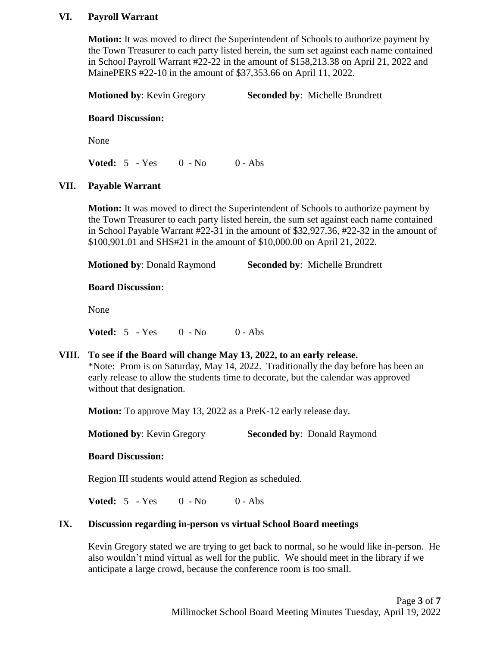# **VI. Payroll Warrant**

**Motion:** It was moved to direct the Superintendent of Schools to authorize payment by the Town Treasurer to each party listed herein, the sum set against each name contained in School Payroll Warrant #22-22 in the amount of \$158,213.38 on April 21, 2022 and MainePERS #22-10 in the amount of \$37,353.66 on April 11, 2022.

| <b>Motioned by: Kevin Gregory</b> | <b>Seconded by: Michelle Brundrett</b> |
|-----------------------------------|----------------------------------------|
|                                   |                                        |

### **Board Discussion:**

None

**Voted:** 5 - Yes 0 - No 0 - Abs

# **VII. Payable Warrant**

**Motion:** It was moved to direct the Superintendent of Schools to authorize payment by the Town Treasurer to each party listed herein, the sum set against each name contained in School Payable Warrant #22-31 in the amount of \$32,927.36, #22-32 in the amount of \$100,901.01 and SHS#21 in the amount of \$10,000.00 on April 21, 2022.

**Motioned by**: Donald Raymond **Seconded by**: Michelle Brundrett

#### **Board Discussion:**

None

**Voted:** 5 - Yes 0 - No 0 - Abs

# **VIII. To see if the Board will change May 13, 2022, to an early release.**

\*Note: Prom is on Saturday, May 14, 2022. Traditionally the day before has been an early release to allow the students time to decorate, but the calendar was approved without that designation.

**Motion:** To approve May 13, 2022 as a PreK-12 early release day.

**Motioned by: Kevin Gregory Seconded by: Donald Raymond** 

#### **Board Discussion:**

Region III students would attend Region as scheduled.

**Voted:** 5 - Yes 0 - No 0 - Abs

#### **IX. Discussion regarding in-person vs virtual School Board meetings**

Kevin Gregory stated we are trying to get back to normal, so he would like in-person. He also wouldn't mind virtual as well for the public. We should meet in the library if we anticipate a large crowd, because the conference room is too small.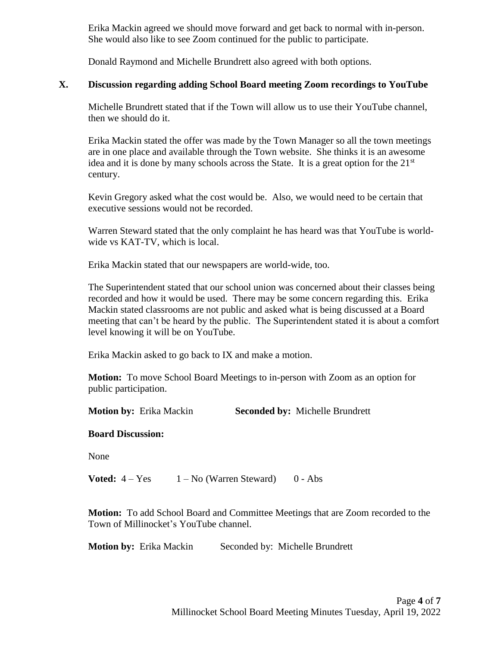Erika Mackin agreed we should move forward and get back to normal with in-person. She would also like to see Zoom continued for the public to participate.

Donald Raymond and Michelle Brundrett also agreed with both options.

# **X. Discussion regarding adding School Board meeting Zoom recordings to YouTube**

Michelle Brundrett stated that if the Town will allow us to use their YouTube channel, then we should do it.

Erika Mackin stated the offer was made by the Town Manager so all the town meetings are in one place and available through the Town website. She thinks it is an awesome idea and it is done by many schools across the State. It is a great option for the  $21<sup>st</sup>$ century.

Kevin Gregory asked what the cost would be. Also, we would need to be certain that executive sessions would not be recorded.

Warren Steward stated that the only complaint he has heard was that YouTube is worldwide vs KAT-TV, which is local.

Erika Mackin stated that our newspapers are world-wide, too.

The Superintendent stated that our school union was concerned about their classes being recorded and how it would be used. There may be some concern regarding this. Erika Mackin stated classrooms are not public and asked what is being discussed at a Board meeting that can't be heard by the public. The Superintendent stated it is about a comfort level knowing it will be on YouTube.

Erika Mackin asked to go back to IX and make a motion.

**Motion:** To move School Board Meetings to in-person with Zoom as an option for public participation.

**Motion by:** Erika Mackin **Seconded by:** Michelle Brundrett

# **Board Discussion:**

None

**Voted:**  $4 - Yes$  1 – No (Warren Steward) 0 - Abs

**Motion:** To add School Board and Committee Meetings that are Zoom recorded to the Town of Millinocket's YouTube channel.

**Motion by:** Erika Mackin Seconded by: Michelle Brundrett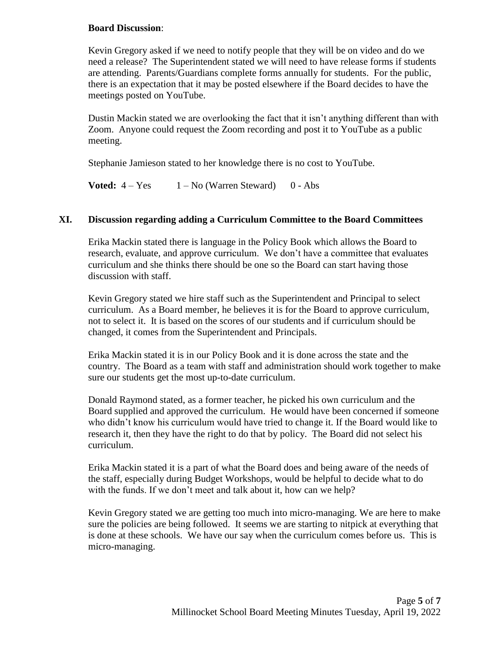# **Board Discussion**:

Kevin Gregory asked if we need to notify people that they will be on video and do we need a release? The Superintendent stated we will need to have release forms if students are attending. Parents/Guardians complete forms annually for students. For the public, there is an expectation that it may be posted elsewhere if the Board decides to have the meetings posted on YouTube.

Dustin Mackin stated we are overlooking the fact that it isn't anything different than with Zoom. Anyone could request the Zoom recording and post it to YouTube as a public meeting.

Stephanie Jamieson stated to her knowledge there is no cost to YouTube.

**Voted:**  $4 - Yes$   $1 - No$  (Warren Steward)  $0 - Abs$ 

# **XI. Discussion regarding adding a Curriculum Committee to the Board Committees**

Erika Mackin stated there is language in the Policy Book which allows the Board to research, evaluate, and approve curriculum. We don't have a committee that evaluates curriculum and she thinks there should be one so the Board can start having those discussion with staff.

Kevin Gregory stated we hire staff such as the Superintendent and Principal to select curriculum. As a Board member, he believes it is for the Board to approve curriculum, not to select it. It is based on the scores of our students and if curriculum should be changed, it comes from the Superintendent and Principals.

Erika Mackin stated it is in our Policy Book and it is done across the state and the country. The Board as a team with staff and administration should work together to make sure our students get the most up-to-date curriculum.

Donald Raymond stated, as a former teacher, he picked his own curriculum and the Board supplied and approved the curriculum. He would have been concerned if someone who didn't know his curriculum would have tried to change it. If the Board would like to research it, then they have the right to do that by policy. The Board did not select his curriculum.

Erika Mackin stated it is a part of what the Board does and being aware of the needs of the staff, especially during Budget Workshops, would be helpful to decide what to do with the funds. If we don't meet and talk about it, how can we help?

Kevin Gregory stated we are getting too much into micro-managing. We are here to make sure the policies are being followed. It seems we are starting to nitpick at everything that is done at these schools. We have our say when the curriculum comes before us. This is micro-managing.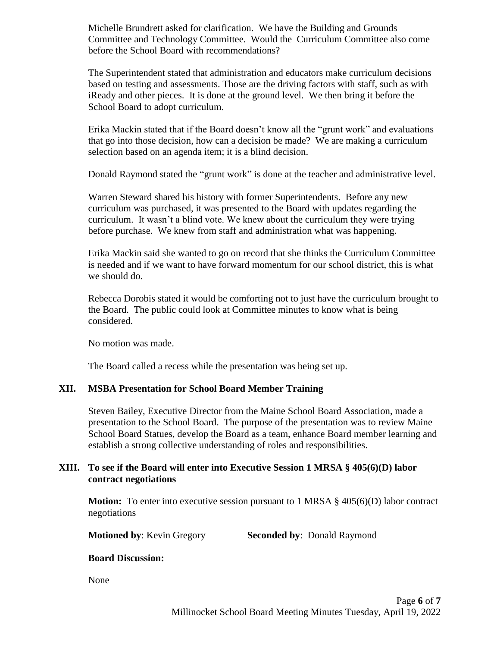Michelle Brundrett asked for clarification. We have the Building and Grounds Committee and Technology Committee. Would the Curriculum Committee also come before the School Board with recommendations?

The Superintendent stated that administration and educators make curriculum decisions based on testing and assessments. Those are the driving factors with staff, such as with iReady and other pieces. It is done at the ground level. We then bring it before the School Board to adopt curriculum.

Erika Mackin stated that if the Board doesn't know all the "grunt work" and evaluations that go into those decision, how can a decision be made? We are making a curriculum selection based on an agenda item; it is a blind decision.

Donald Raymond stated the "grunt work" is done at the teacher and administrative level.

Warren Steward shared his history with former Superintendents. Before any new curriculum was purchased, it was presented to the Board with updates regarding the curriculum. It wasn't a blind vote. We knew about the curriculum they were trying before purchase. We knew from staff and administration what was happening.

Erika Mackin said she wanted to go on record that she thinks the Curriculum Committee is needed and if we want to have forward momentum for our school district, this is what we should do.

Rebecca Dorobis stated it would be comforting not to just have the curriculum brought to the Board. The public could look at Committee minutes to know what is being considered.

No motion was made.

The Board called a recess while the presentation was being set up.

# **XII. MSBA Presentation for School Board Member Training**

Steven Bailey, Executive Director from the Maine School Board Association, made a presentation to the School Board. The purpose of the presentation was to review Maine School Board Statues, develop the Board as a team, enhance Board member learning and establish a strong collective understanding of roles and responsibilities.

# **XIII. To see if the Board will enter into Executive Session 1 MRSA § 405(6)(D) labor contract negotiations**

**Motion:** To enter into executive session pursuant to 1 MRSA § 405(6)(D) labor contract negotiations

**Motioned by: Kevin Gregory Seconded by: Donald Raymond** 

# **Board Discussion:**

None